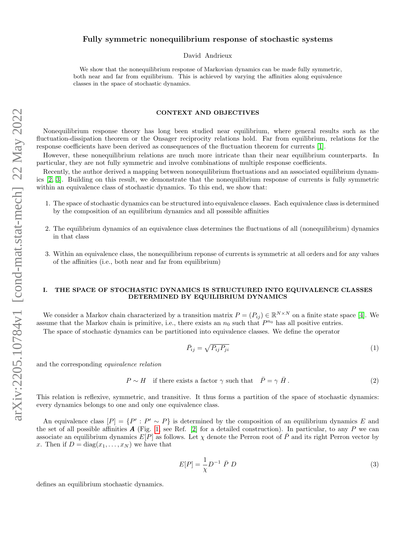# Fully symmetric nonequilibrium response of stochastic systems

David Andrieux

We show that the nonequilibrium response of Markovian dynamics can be made fully symmetric, both near and far from equilibrium. This is achieved by varying the affinities along equivalence classes in the space of stochastic dynamics.

### CONTEXT AND OBJECTIVES

Nonequilibrium response theory has long been studied near equilibrium, where general results such as the fluctuation-dissipation theorem or the Onsager reciprocity relations hold. Far from equilibrium, relations for the response coefficients have been derived as consequences of the fluctuation theorem for currents [\[1\]](#page-3-0).

However, these nonequilibrium relations are much more intricate than their near equilibrium counterparts. In particular, they are not fully symmetric and involve combinations of multiple response coefficients.

Recently, the author derived a mapping between nonequilibrium fluctuations and an associated equilibrium dynamics [\[2,](#page-3-1) [3\]](#page-3-2). Building on this result, we demonstrate that the nonequilibrium response of currents is fully symmetric within an equivalence class of stochastic dynamics. To this end, we show that:

- 1. The space of stochastic dynamics can be structured into equivalence classes. Each equivalence class is determined by the composition of an equilibrium dynamics and all posssible affinities
- 2. The equilibrium dynamics of an equivalence class determines the fluctuations of all (nonequilibrium) dynamics in that class
- 3. Within an equivalence class, the nonequilibrium reponse of currents is symmetric at all orders and for any values of the affinities (i.e., both near and far from equilibrium)

## I. THE SPACE OF STOCHASTIC DYNAMICS IS STRUCTURED INTO EQUIVALENCE CLASSES DETERMINED BY EQUILIBRIUM DYNAMICS

We consider a Markov chain characterized by a transition matrix  $P = (P_{ij}) \in \mathbb{R}^{N \times N}$  on a finite state space [\[4\]](#page-3-3). We assume that the Markov chain is primitive, i.e., there exists an  $n_0$  such that  $P^{n_0}$  has all positive entries. The space of stochastic dynamics can be partitioned into equivalence classes. We define the operator

$$
\bar{P}_{ij} = \sqrt{P_{ij}P_{ji}}\tag{1}
$$

and the corresponding equivalence relation

<span id="page-0-0"></span> $P \sim H$  if there exists a factor  $\gamma$  such that  $\overline{P} = \gamma \overline{H}$ .  $(2)$ 

This relation is reflexive, symmetric, and transitive. It thus forms a partition of the space of stochastic dynamics: every dynamics belongs to one and only one equivalence class.

An equivalence class  $[P] = \{P' : P' \sim P\}$  is determined by the composition of an equilibrium dynamics E and the set of all possible affinities  $A$  (Fig. [1,](#page-1-0) see Ref. [\[2\]](#page-3-1) for a detailed construction). In particular, to any P we can associate an equilibrium dynamics  $E[P]$  as follows. Let  $\chi$  denote the Perron root of  $\overline{P}$  and its right Perron vector by x. Then if  $D = diag(x_1, \ldots, x_N)$  we have that

$$
E[P] = \frac{1}{\chi} D^{-1} \bar{P} D \tag{3}
$$

defines an equilibrium stochastic dynamics.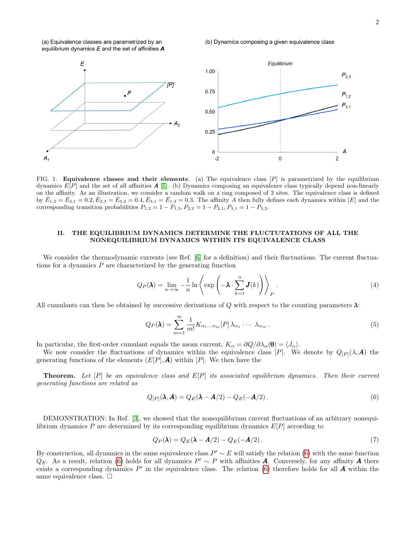(a) Equivalence classes are parametrized by an equilibrium dynamics  $E$  and the set of affinities  $A$ 

#### (b) Dynamics composing a given equivalence class



<span id="page-1-0"></span>FIG. 1. **Equivalence classes and their elements**. (a) The equivalence class  $[P]$  is parametrized by the equilibrium dynamics  $E[P]$  and the set of all affinities  $A$  [\[5\]](#page-3-4). (b) Dynamics composing an equivalence class typically depend non-linearly on the affinity. As an illustration, we consider a random walk on a ring composed of 3 sites. The equivalence class is defined by  $\bar{E}_{1,2} = \bar{E}_{2,1} = 0.2, \bar{E}_{2,3} = \bar{E}_{3,2} = 0.4, \bar{E}_{3,1} = \bar{E}_{1,3} = 0.3.$  The affinity A then fully defines each dynamics within [E] and the corresponding transition probabilities  $P_{1,2} = 1 - P_{1,3}$ ,  $P_{2,3} = 1 - P_{2,1}$ ,  $P_{3,1} = 1 - P_{3,2}$ .

### II. THE EQUILIBRIUM DYNAMICS DETERMINE THE FLUCTUTATIONS OF ALL THE NONEQUILIBRIUM DYNAMICS WITHIN ITS EQUIVALENCE CLASS

We consider the thermodynamic currents (see Ref. [\[6\]](#page-3-5) for a definition) and their fluctuations. The current fluctuations for a dynamics  $P$  are characterized by the generating function

$$
Q_P(\lambda) = \lim_{n \to \infty} -\frac{1}{n} \ln \left\langle \exp \left( -\lambda \cdot \sum_{k=1}^n J(k) \right) \right\rangle_P.
$$
 (4)

All cumulants can then be obtained by successive derivations of Q with respect to the counting parameters  $\lambda$ :

$$
Q_P(\boldsymbol{\lambda}) = \sum_{m=1}^{\infty} \frac{1}{m!} K_{\alpha_1 \dots \alpha_m} [P] \lambda_{\alpha_1} \cdots \lambda_{\alpha_m}.
$$
 (5)

In particular, the first-order cumulant equals the mean current,  $K_{\alpha} = \partial Q/\partial \lambda_{\alpha}(\mathbf{0}) = \langle J_{\alpha} \rangle$ .

We now consider the fluctuations of dynamics within the equivalence class [P]. We denote by  $Q_{[P]}(\lambda, \mathbf{A})$  the generating functions of the elements  $(E[P], \mathbf{A})$  within  $[P]$ . We then have the

**Theorem.** Let  $[P]$  be an equivalence class and  $E[P]$  its associated equilibrium dynamics. Then their current generating functions are related as

<span id="page-1-1"></span>
$$
Q_{[P]}(\lambda, A) = Q_E(\lambda - A/2) - Q_E(-A/2).
$$
\n(6)

DEMONSTRATION: In Ref. [\[3\]](#page-3-2), we showed that the nonequilibrium current fluctuations of an arbitrary nonequilibrium dynamics  $P$  are determined by its corresponding equilibrium dynamics  $E[P]$  according to

$$
Q_P(\lambda) = Q_E(\lambda - A/2) - Q_E(-A/2). \tag{7}
$$

By construction, all dynamics in the same equivalence class  $P' \sim E$  will satisfy the relation [\(6\)](#page-1-1) with the same function  $Q_E$ . As a result, relation [\(6\)](#page-1-1) holds for all dynamics  $P' \sim P$  with affinities **A**. Conversely, for any affinity **A** there exists a corresponding dynamics  $P'$  in the equivalence class. The relation [\(6\)](#page-1-1) therefore holds for all  $\vec{A}$  within the same equivalence class.  $\square$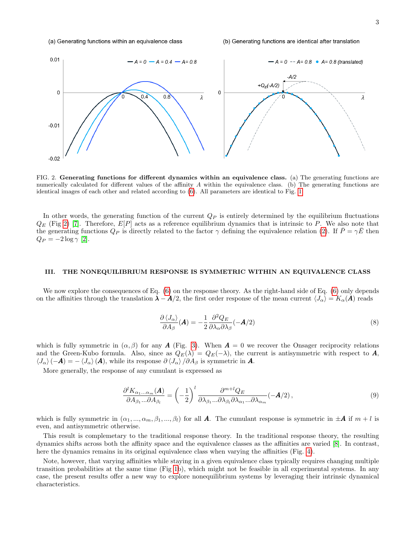#### (a) Generating functions within an equivalence class



<span id="page-2-0"></span>FIG. 2. Generating functions for different dynamics within an equivalence class. (a) The generating functions are numerically calculated for different values of the affinity  $A$  within the equivalence class. (b) The generating functions are identical images of each other and related according to [\(6\)](#page-1-1). All parameters are identical to Fig. [1.](#page-1-0)

In other words, the generating function of the current  $Q_P$  is entirely determined by the equilibrium fluctuations  $Q_E$  (Fig [2\)](#page-2-0) [\[7\]](#page-3-6). Therefore,  $E[P]$  acts as a reference equilibrium dynamics that is intrinsic to P. We also note that the generating functions  $Q_P$  is directly related to the factor  $\gamma$  defining the equivalence relation [\(2\)](#page-0-0). If  $P = \gamma E$  then  $Q_P = -2 \log \gamma$  [\[2\]](#page-3-1).

### III. THE NONEQUILIBRIUM RESPONSE IS SYMMETRIC WITHIN AN EQUIVALENCE CLASS

We now explore the consequences of Eq. [\(6\)](#page-1-1) on the response theory. As the right-hand side of Eq. [\(6\)](#page-1-1) only depends on the affinities through the translation  $\lambda - A/2$ , the first order response of the mean current  $\langle J_\alpha \rangle = K_\alpha(A)$  reads

$$
\frac{\partial \left\langle J_{\alpha}\right\rangle}{\partial A_{\beta}}(\mathbf{A}) = -\frac{1}{2} \frac{\partial^2 Q_E}{\partial \lambda_{\alpha} \partial \lambda_{\beta}}(-\mathbf{A}/2)
$$
\n(8)

which is fully symmetric in  $(\alpha, \beta)$  for any **A** (Fig. [3\)](#page-3-7). When  $\mathbf{A} = 0$  we recover the Onsager reciprocity relations and the Green-Kubo formula. Also, since as  $Q_E(\lambda) = Q_E(-\lambda)$ , the current is antisymmetric with respect to A,  $\langle J_{\alpha}\rangle$  (-A) = -  $\langle J_{\alpha}\rangle$  (A), while its response  $\partial \langle J_{\alpha}\rangle / \partial A_{\beta}$  is symmetric in A.

More generally, the response of any cumulant is expressed as

<span id="page-2-1"></span>
$$
\frac{\partial^l K_{\alpha_1...\alpha_m}(\mathbf{A})}{\partial A_{\beta_1}...\partial A_{\beta_l}} = \left(-\frac{1}{2}\right)^l \frac{\partial^{m+l} Q_E}{\partial \lambda_{\beta_1}...\partial \lambda_{\beta_l} \partial \lambda_{\alpha_1}...\partial \lambda_{\alpha_m}} (-\mathbf{A}/2),\tag{9}
$$

which is fully symmetric in  $(\alpha_1, ..., \alpha_m, \beta_1, ..., \beta_l)$  for all A. The cumulant response is symmetric in  $\pm A$  if  $m + l$  is even, and antisymmetric otherwise.

This result is complemetary to the traditional response theory. In the traditional response theory, the resulting dynamics shifts across both the affinity space and the equivalence classes as the affinities are varied [\[8\]](#page-3-8). In contrast, here the dynamics remains in its original equivalence class when varying the affinities (Fig. [4\)](#page-3-9).

Note, however, that varying affinities while staying in a given equivalence class typically requires changing multiple transition probabilities at the same time (Fig [1b](#page-1-0)), which might not be feasible in all experimental systems. In any case, the present results offer a new way to explore nonequilibrium systems by leveraging their intrinsic dynamical characteristics.